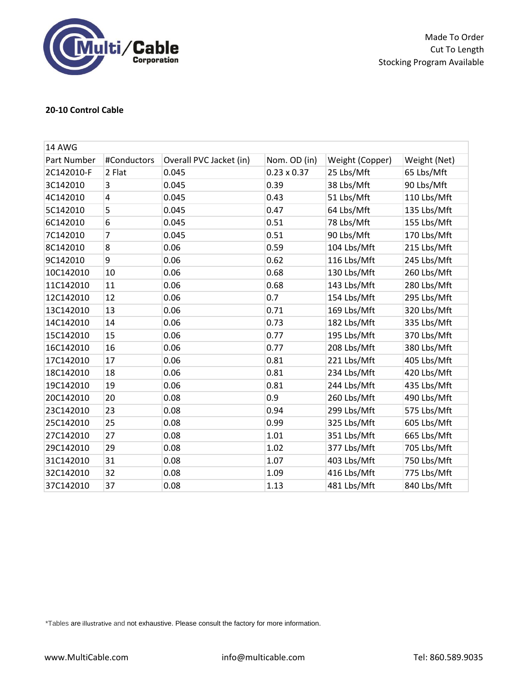

Made To Order Cut To Length Stocking Program Available

## **20-10 Control Cable**

| <b>14 AWG</b> |             |                         |                    |                 |              |  |  |
|---------------|-------------|-------------------------|--------------------|-----------------|--------------|--|--|
| Part Number   | #Conductors | Overall PVC Jacket (in) | Nom. OD (in)       | Weight (Copper) | Weight (Net) |  |  |
| 2C142010-F    | 2 Flat      | 0.045                   | $0.23 \times 0.37$ | 25 Lbs/Mft      | 65 Lbs/Mft   |  |  |
| 3C142010      | 3           | 0.045                   | 0.39               | 38 Lbs/Mft      | 90 Lbs/Mft   |  |  |
| 4C142010      | 4           | 0.045                   | 0.43               | 51 Lbs/Mft      | 110 Lbs/Mft  |  |  |
| 5C142010      | 5           | 0.045                   | 0.47               | 64 Lbs/Mft      | 135 Lbs/Mft  |  |  |
| 6C142010      | 6           | 0.045                   | 0.51               | 78 Lbs/Mft      | 155 Lbs/Mft  |  |  |
| 7C142010      | 7           | 0.045                   | 0.51               | 90 Lbs/Mft      | 170 Lbs/Mft  |  |  |
| 8C142010      | 8           | 0.06                    | 0.59               | 104 Lbs/Mft     | 215 Lbs/Mft  |  |  |
| 9C142010      | 9           | 0.06                    | 0.62               | 116 Lbs/Mft     | 245 Lbs/Mft  |  |  |
| 10C142010     | 10          | 0.06                    | 0.68               | 130 Lbs/Mft     | 260 Lbs/Mft  |  |  |
| 11C142010     | 11          | 0.06                    | 0.68               | 143 Lbs/Mft     | 280 Lbs/Mft  |  |  |
| 12C142010     | 12          | 0.06                    | 0.7                | 154 Lbs/Mft     | 295 Lbs/Mft  |  |  |
| 13C142010     | 13          | 0.06                    | 0.71               | 169 Lbs/Mft     | 320 Lbs/Mft  |  |  |
| 14C142010     | 14          | 0.06                    | 0.73               | 182 Lbs/Mft     | 335 Lbs/Mft  |  |  |
| 15C142010     | 15          | 0.06                    | 0.77               | 195 Lbs/Mft     | 370 Lbs/Mft  |  |  |
| 16C142010     | 16          | 0.06                    | 0.77               | 208 Lbs/Mft     | 380 Lbs/Mft  |  |  |
| 17C142010     | 17          | 0.06                    | 0.81               | 221 Lbs/Mft     | 405 Lbs/Mft  |  |  |
| 18C142010     | 18          | 0.06                    | 0.81               | 234 Lbs/Mft     | 420 Lbs/Mft  |  |  |
| 19C142010     | 19          | 0.06                    | 0.81               | 244 Lbs/Mft     | 435 Lbs/Mft  |  |  |
| 20C142010     | 20          | 0.08                    | 0.9                | 260 Lbs/Mft     | 490 Lbs/Mft  |  |  |
| 23C142010     | 23          | 0.08                    | 0.94               | 299 Lbs/Mft     | 575 Lbs/Mft  |  |  |
| 25C142010     | 25          | 0.08                    | 0.99               | 325 Lbs/Mft     | 605 Lbs/Mft  |  |  |
| 27C142010     | 27          | 0.08                    | 1.01               | 351 Lbs/Mft     | 665 Lbs/Mft  |  |  |
| 29C142010     | 29          | 0.08                    | 1.02               | 377 Lbs/Mft     | 705 Lbs/Mft  |  |  |
| 31C142010     | 31          | 0.08                    | 1.07               | 403 Lbs/Mft     | 750 Lbs/Mft  |  |  |
| 32C142010     | 32          | 0.08                    | 1.09               | 416 Lbs/Mft     | 775 Lbs/Mft  |  |  |
| 37C142010     | 37          | 0.08                    | 1.13               | 481 Lbs/Mft     | 840 Lbs/Mft  |  |  |

\*Tables are illustrative and not exhaustive. Please consult the factory for more information.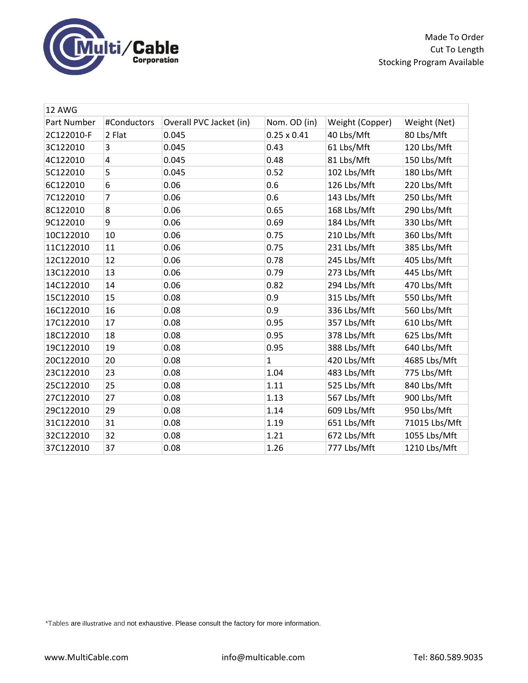

Made To Order Cut To Length Stocking Program Available

| 12 AWG      |             |                         |                    |                 |               |  |  |
|-------------|-------------|-------------------------|--------------------|-----------------|---------------|--|--|
| Part Number | #Conductors | Overall PVC Jacket (in) | Nom. OD (in)       | Weight (Copper) | Weight (Net)  |  |  |
| 2C122010-F  | 2 Flat      | 0.045                   | $0.25 \times 0.41$ | 40 Lbs/Mft      | 80 Lbs/Mft    |  |  |
| 3C122010    | 3           | 0.045                   | 0.43               | 61 Lbs/Mft      | 120 Lbs/Mft   |  |  |
| 4C122010    | 4           | 0.045                   | 0.48               | 81 Lbs/Mft      | 150 Lbs/Mft   |  |  |
| 5C122010    | 5           | 0.045                   | 0.52               | 102 Lbs/Mft     | 180 Lbs/Mft   |  |  |
| 6C122010    | 6           | 0.06                    | 0.6                | 126 Lbs/Mft     | 220 Lbs/Mft   |  |  |
| 7C122010    | 7           | 0.06                    | 0.6                | 143 Lbs/Mft     | 250 Lbs/Mft   |  |  |
| 8C122010    | 8           | 0.06                    | 0.65               | 168 Lbs/Mft     | 290 Lbs/Mft   |  |  |
| 9C122010    | 9           | 0.06                    | 0.69               | 184 Lbs/Mft     | 330 Lbs/Mft   |  |  |
| 10C122010   | 10          | 0.06                    | 0.75               | 210 Lbs/Mft     | 360 Lbs/Mft   |  |  |
| 11C122010   | 11          | 0.06                    | 0.75               | 231 Lbs/Mft     | 385 Lbs/Mft   |  |  |
| 12C122010   | 12          | 0.06                    | 0.78               | 245 Lbs/Mft     | 405 Lbs/Mft   |  |  |
| 13C122010   | 13          | 0.06                    | 0.79               | 273 Lbs/Mft     | 445 Lbs/Mft   |  |  |
| 14C122010   | 14          | 0.06                    | 0.82               | 294 Lbs/Mft     | 470 Lbs/Mft   |  |  |
| 15C122010   | 15          | 0.08                    | 0.9                | 315 Lbs/Mft     | 550 Lbs/Mft   |  |  |
| 16C122010   | 16          | 0.08                    | 0.9                | 336 Lbs/Mft     | 560 Lbs/Mft   |  |  |
| 17C122010   | 17          | 0.08                    | 0.95               | 357 Lbs/Mft     | 610 Lbs/Mft   |  |  |
| 18C122010   | 18          | 0.08                    | 0.95               | 378 Lbs/Mft     | 625 Lbs/Mft   |  |  |
| 19C122010   | 19          | 0.08                    | 0.95               | 388 Lbs/Mft     | 640 Lbs/Mft   |  |  |
| 20C122010   | 20          | 0.08                    | $\mathbf{1}$       | 420 Lbs/Mft     | 4685 Lbs/Mft  |  |  |
| 23C122010   | 23          | 0.08                    | 1.04               | 483 Lbs/Mft     | 775 Lbs/Mft   |  |  |
| 25C122010   | 25          | 0.08                    | 1.11               | 525 Lbs/Mft     | 840 Lbs/Mft   |  |  |
| 27C122010   | 27          | 0.08                    | 1.13               | 567 Lbs/Mft     | 900 Lbs/Mft   |  |  |
| 29C122010   | 29          | 0.08                    | 1.14               | 609 Lbs/Mft     | 950 Lbs/Mft   |  |  |
| 31C122010   | 31          | 0.08                    | 1.19               | 651 Lbs/Mft     | 71015 Lbs/Mft |  |  |
| 32C122010   | 32          | 0.08                    | 1.21               | 672 Lbs/Mft     | 1055 Lbs/Mft  |  |  |
| 37C122010   | 37          | 0.08                    | 1.26               | 777 Lbs/Mft     | 1210 Lbs/Mft  |  |  |

\*Tables are illustrative and not exhaustive. Please consult the factory for more information.